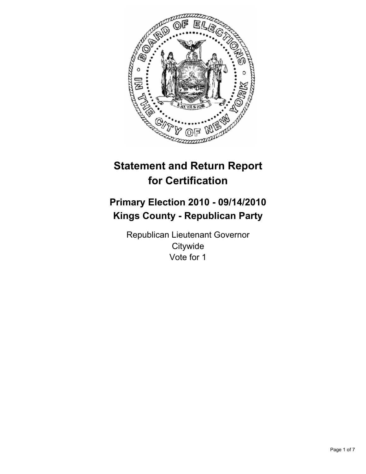

# **Statement and Return Report for Certification**

# **Primary Election 2010 - 09/14/2010 Kings County - Republican Party**

Republican Lieutenant Governor **Citywide** Vote for 1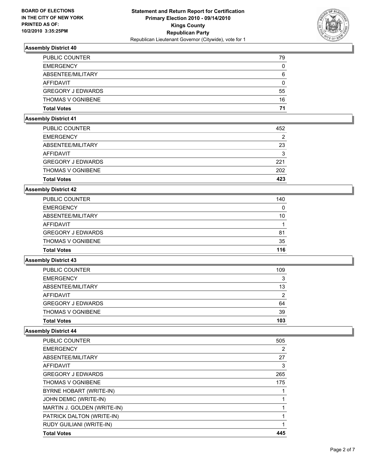

| <b>PUBLIC COUNTER</b>    | 79 |
|--------------------------|----|
| <b>EMERGENCY</b>         | 0  |
| ABSENTEE/MILITARY        | 6  |
| AFFIDAVIT                | 0  |
| <b>GREGORY J EDWARDS</b> | 55 |
| <b>THOMAS V OGNIBENE</b> | 16 |
| <b>Total Votes</b>       | 71 |

#### **Assembly District 41**

| <b>THOMAS V OGNIBENE</b> | 202 |
|--------------------------|-----|
| <b>GREGORY J EDWARDS</b> | 221 |
| AFFIDAVIT                | 3   |
| ABSENTEE/MILITARY        | 23  |
| <b>EMERGENCY</b>         | 2   |
| <b>PUBLIC COUNTER</b>    | 452 |

#### **Assembly District 42**

| <b>Total Votes</b>       | 116 |
|--------------------------|-----|
| <b>THOMAS V OGNIBENE</b> | 35  |
| <b>GREGORY J EDWARDS</b> | 81  |
| AFFIDAVIT                |     |
| ABSENTEE/MILITARY        | 10  |
| <b>EMERGENCY</b>         | 0   |
| <b>PUBLIC COUNTER</b>    | 140 |

# **Assembly District 43**

| <b>Total Votes</b>       | 103 |
|--------------------------|-----|
| <b>THOMAS V OGNIBENE</b> | 39  |
| <b>GREGORY J EDWARDS</b> | 64  |
| AFFIDAVIT                | 2   |
| ABSENTEE/MILITARY        | 13  |
| <b>EMERGENCY</b>         | 3   |
| <b>PUBLIC COUNTER</b>    | 109 |

| <b>Total Votes</b>          | 445 |
|-----------------------------|-----|
| RUDY GUILIANI (WRITE-IN)    |     |
| PATRICK DALTON (WRITE-IN)   |     |
| MARTIN J. GOLDEN (WRITE-IN) |     |
| JOHN DEMIC (WRITE-IN)       |     |
| BYRNE HOBART (WRITE-IN)     |     |
| <b>THOMAS V OGNIBENE</b>    | 175 |
| <b>GREGORY J EDWARDS</b>    | 265 |
| <b>AFFIDAVIT</b>            | 3   |
| ABSENTEE/MILITARY           | 27  |
| <b>EMERGENCY</b>            | 2   |
| <b>PUBLIC COUNTER</b>       | 505 |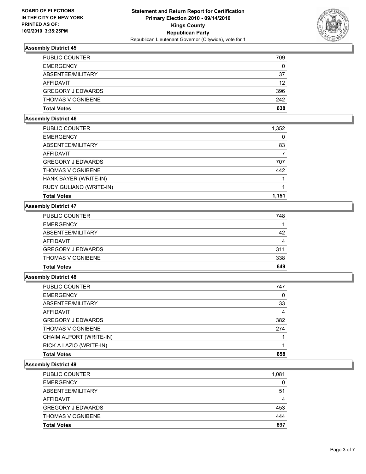

| PUBLIC COUNTER           | 709 |
|--------------------------|-----|
| <b>EMERGENCY</b>         | 0   |
| ABSENTEE/MILITARY        | 37  |
| AFFIDAVIT                | 12  |
| <b>GREGORY J EDWARDS</b> | 396 |
| <b>THOMAS V OGNIBENE</b> | 242 |
| <b>Total Votes</b>       | 638 |

#### **Assembly District 46**

| PUBLIC COUNTER           | 1,352 |
|--------------------------|-------|
| <b>EMERGENCY</b>         | 0     |
| ABSENTEE/MILITARY        | 83    |
| <b>AFFIDAVIT</b>         |       |
| <b>GREGORY J EDWARDS</b> | 707   |
| <b>THOMAS V OGNIBENE</b> | 442   |
| HANK BAYER (WRITE-IN)    |       |
| RUDY GULIANO (WRITE-IN)  |       |
| <b>Total Votes</b>       | 1.151 |

# **Assembly District 47**

| <b>Total Votes</b>       | 649 |
|--------------------------|-----|
| <b>THOMAS V OGNIBENE</b> | 338 |
| <b>GREGORY J EDWARDS</b> | 311 |
| AFFIDAVIT                | 4   |
| ABSENTEE/MILITARY        | 42  |
| <b>EMERGENCY</b>         |     |
| PUBLIC COUNTER           | 748 |

# **Assembly District 48**

| <b>PUBLIC COUNTER</b>    | 747 |
|--------------------------|-----|
| <b>EMERGENCY</b>         | 0   |
| ABSENTEE/MILITARY        | 33  |
| AFFIDAVIT                | 4   |
| <b>GREGORY J EDWARDS</b> | 382 |
| <b>THOMAS V OGNIBENE</b> | 274 |
| CHAIM ALPORT (WRITE-IN)  |     |
| RICK A LAZIO (WRITE-IN)  |     |
| <b>Total Votes</b>       | 658 |

| <b>PUBLIC COUNTER</b>    | 1,081 |
|--------------------------|-------|
| <b>EMERGENCY</b>         | 0     |
| ABSENTEE/MILITARY        | 51    |
| AFFIDAVIT                | 4     |
| <b>GREGORY J EDWARDS</b> | 453   |
| <b>THOMAS V OGNIBENE</b> | 444   |
| <b>Total Votes</b>       | 897   |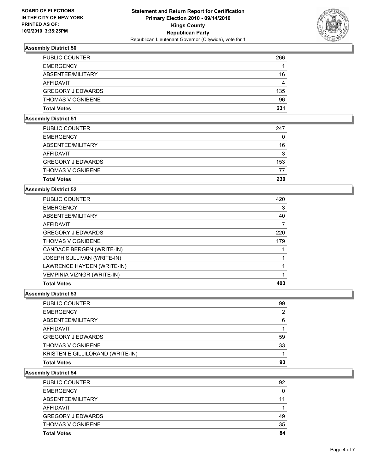

| <b>PUBLIC COUNTER</b>    | 266 |
|--------------------------|-----|
| <b>EMERGENCY</b>         |     |
| ABSENTEE/MILITARY        | 16  |
| AFFIDAVIT                | 4   |
| <b>GREGORY J EDWARDS</b> | 135 |
| <b>THOMAS V OGNIBENE</b> | 96  |
| <b>Total Votes</b>       | 231 |

#### **Assembly District 51**

| 3<br>153<br>77 |
|----------------|
|                |
|                |
|                |
| 16             |
| 0              |
| 247            |
|                |

#### **Assembly District 52**

| <b>Total Votes</b>                | 403 |
|-----------------------------------|-----|
| <b>VEMPINIA VIZNGR (WRITE-IN)</b> |     |
| LAWRENCE HAYDEN (WRITE-IN)        |     |
| JOSEPH SULLIVAN (WRITE-IN)        |     |
| CANDACE BERGEN (WRITE-IN)         |     |
| <b>THOMAS V OGNIBENE</b>          | 179 |
| <b>GREGORY J EDWARDS</b>          | 220 |
| AFFIDAVIT                         | 7   |
| ABSENTEE/MILITARY                 | 40  |
| <b>EMERGENCY</b>                  | 3   |
| <b>PUBLIC COUNTER</b>             | 420 |

# **Assembly District 53**

| <b>Total Votes</b>               | 93 |
|----------------------------------|----|
| KRISTEN E GILLILORAND (WRITE-IN) |    |
| <b>THOMAS V OGNIBENE</b>         | 33 |
| <b>GREGORY J EDWARDS</b>         | 59 |
| AFFIDAVIT                        |    |
| ABSENTEE/MILITARY                | 6  |
| <b>EMERGENCY</b>                 | 2  |
| PUBLIC COUNTER                   | 99 |

| <b>Total Votes</b>       | 84 |
|--------------------------|----|
| <b>THOMAS V OGNIBENE</b> | 35 |
| <b>GREGORY J EDWARDS</b> | 49 |
| AFFIDAVIT                |    |
| ABSENTEE/MILITARY        | 11 |
| <b>EMERGENCY</b>         | 0  |
| <b>PUBLIC COUNTER</b>    | 92 |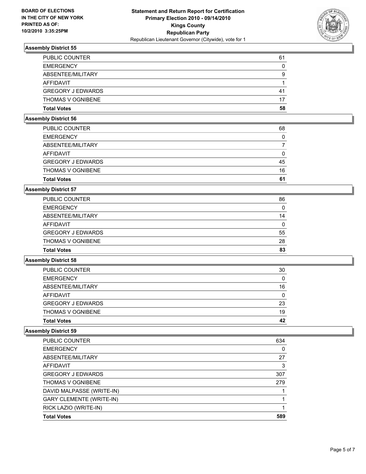

| <b>PUBLIC COUNTER</b>    | 61 |
|--------------------------|----|
| <b>EMERGENCY</b>         | 0  |
| ABSENTEE/MILITARY        | 9  |
| AFFIDAVIT                |    |
| <b>GREGORY J EDWARDS</b> | 41 |
| <b>THOMAS V OGNIBENE</b> | 17 |
| <b>Total Votes</b>       | 58 |

#### **Assembly District 56**

| <b>Total Votes</b>       | 61 |
|--------------------------|----|
| <b>THOMAS V OGNIBENE</b> | 16 |
| <b>GREGORY J EDWARDS</b> | 45 |
| AFFIDAVIT                | 0  |
| ABSENTEE/MILITARY        |    |
| <b>EMERGENCY</b>         | 0  |
| <b>PUBLIC COUNTER</b>    | 68 |

#### **Assembly District 57**

| <b>Total Votes</b>       | 83 |
|--------------------------|----|
| <b>THOMAS V OGNIBENE</b> | 28 |
| <b>GREGORY J EDWARDS</b> | 55 |
| AFFIDAVIT                | 0  |
| ABSENTEE/MILITARY        | 14 |
| <b>EMERGENCY</b>         | 0  |
| <b>PUBLIC COUNTER</b>    | 86 |

# **Assembly District 58**

| <b>Total Votes</b>       | 42 |
|--------------------------|----|
| <b>THOMAS V OGNIBENE</b> | 19 |
| <b>GREGORY J EDWARDS</b> | 23 |
| AFFIDAVIT                | 0  |
| ABSENTEE/MILITARY        | 16 |
| <b>EMERGENCY</b>         | 0  |
| <b>PUBLIC COUNTER</b>    | 30 |

| PUBLIC COUNTER                  | 634 |
|---------------------------------|-----|
| <b>EMERGENCY</b>                | 0   |
| ABSENTEE/MILITARY               | 27  |
| <b>AFFIDAVIT</b>                | 3   |
| <b>GREGORY J EDWARDS</b>        | 307 |
| <b>THOMAS V OGNIBENE</b>        | 279 |
| DAVID MALPASSE (WRITE-IN)       |     |
| <b>GARY CLEMENTE (WRITE-IN)</b> |     |
| RICK LAZIO (WRITE-IN)           |     |
| <b>Total Votes</b>              | 589 |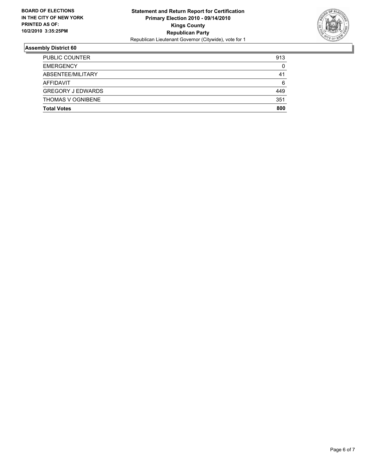

| <b>Total Votes</b>       | 800 |
|--------------------------|-----|
| <b>THOMAS V OGNIBENE</b> | 351 |
| <b>GREGORY J EDWARDS</b> | 449 |
| AFFIDAVIT                | 6   |
| ABSENTEE/MILITARY        | 41  |
| <b>EMERGENCY</b>         | 0   |
| PUBLIC COUNTER           | 913 |